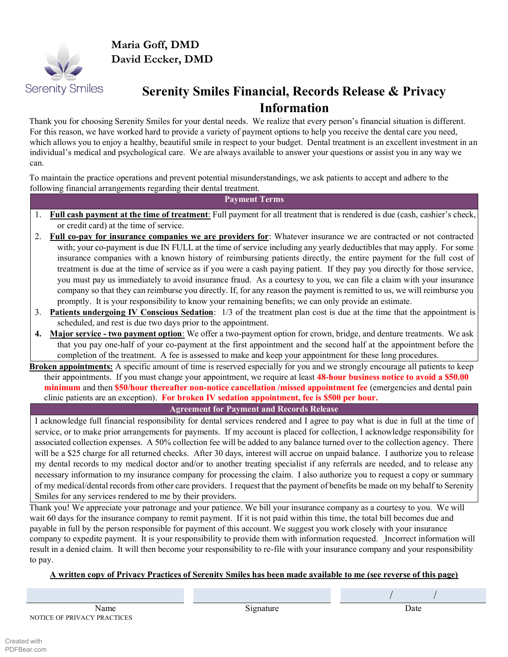

**Maria Goff, DMD David Eccker, DMD**

# **Serenity Smiles Financial, Records Release & Privacy Information**

Thank you for choosing Serenity Smiles for your dental needs. We realize that every person's financial situation is different. For this reason, we have worked hard to provide a variety of payment options to help you receive the dental care you need, which allows you to enjoy a healthy, beautiful smile in respect to your budget. Dental treatment is an excellent investment in an individual's medical and psychological care. We are always available to answer your questions or assist you in any way we can.

To maintain the practice operations and prevent potential misunderstandings, we ask patients to accept and adhere to the following financial arrangements regarding their dental treatment.

# **Payment Terms**

- 1. **Full cash payment at the time of treatment**: Full payment for all treatment that is rendered is due (cash, cashier's check, or credit card) at the time of service.
- 2. **Full co-pay for insurance companies we are providers for**: Whatever insurance we are contracted or not contracted with; your co-payment is due IN FULL at the time of service including any yearly deductibles that may apply. For some insurance companies with a known history of reimbursing patients directly, the entire payment for the full cost of treatment is due at the time of service as if you were a cash paying patient. If they pay you directly for those service, you must pay us immediately to avoid insurance fraud. As a courtesy to you, we can file a claim with your insurance company so that they can reimburse you directly. If, for any reason the payment is remitted to us, we will reimburse you promptly. It is your responsibility to know your remaining benefits; we can only provide an estimate.
- 3. **Patients undergoing IV Conscious Sedation**: 1/3 of the treatment plan cost is due at the time that the appointment is scheduled, and rest is due two days prior to the appointment.
- **4. Major service - two payment option**: We offer a two-payment option for crown, bridge, and denture treatments. We ask that you pay one-half of your co-payment at the first appointment and the second half at the appointment before the completion of the treatment. A fee is assessed to make and keep your appointment for these long procedures.
- **Broken appointments:** A specific amount of time is reserved especially for you and we strongly encourage all patients to keep their appointments. If you must change your appointment, we require at least **48-hour business notice to avoid a \$50.00 minimum** and then **\$50/hour thereafter non-notice cancellation /missed appointment fee** (emergencies and dental pain clinic patients are an exception). **For broken IV sedation appointment, fee is \$500 per hour.**

**Agreement for Payment and Records Release** 

I acknowledge full financial responsibility for dental services rendered and I agree to pay what is due in full at the time of service, or to make prior arrangements for payments. If my account is placed for collection, I acknowledge responsibility for associated collection expenses. A 50% collection fee will be added to any balance turned over to the collection agency. There will be a \$25 charge for all returned checks. After 30 days, interest will accrue on unpaid balance. I authorize you to release my dental records to my medical doctor and/or to another treating specialist if any referrals are needed, and to release any necessary information to my insurance company for processing the claim. I also authorize you to request a copy or summary of my medical/dental records from other care providers. I request that the payment of benefits be made on my behalf to Serenity Smiles for any services rendered to me by their providers.

Thank you! We appreciate your patronage and your patience. We bill your insurance company as a courtesy to you. We will wait 60 days for the insurance company to remit payment. If it is not paid within this time, the total bill becomes due and payable in full by the person responsible for payment of this account. We suggest you work closely with your insurance company to expedite payment. It is your responsibility to provide them with information requested. Incorrect information will result in a denied claim. It will then become your responsibility to re-file with your insurance company and your responsibility to pay.

# **A written copy of Privacy Practices of Serenity Smiles has been made available to me (see reverse of this page)**

Name Date **Signature** Date Date Date NOTICE OF PRIVACY PRACTICES

/ /